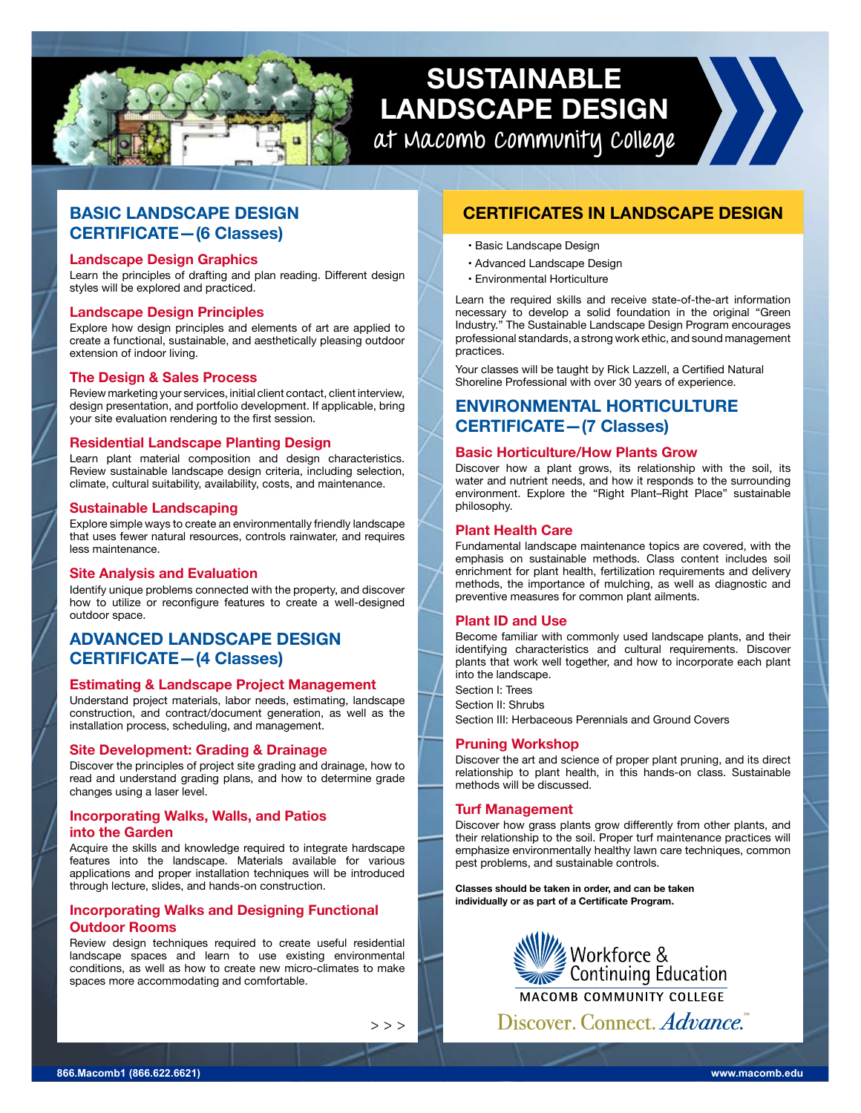

# **SUSTAINABLE LANDSCAPE DESIGN at Macomb Community College**

**BASIC LANDSCAPE DESIGN CERTIFICATE—(6 Classes)**

## **Landscape Design Graphics**

Learn the principles of drafting and plan reading. Different design styles will be explored and practiced.

## **Landscape Design Principles**

Explore how design principles and elements of art are applied to create a functional, sustainable, and aesthetically pleasing outdoor extension of indoor living.

## **The Design & Sales Process**

Review marketing your services, initial client contact, client interview, design presentation, and portfolio development. If applicable, bring your site evaluation rendering to the first session.

## **Residential Landscape Planting Design**

Learn plant material composition and design characteristics. Review sustainable landscape design criteria, including selection, climate, cultural suitability, availability, costs, and maintenance.

#### **Sustainable Landscaping**

Explore simple ways to create an environmentally friendly landscape that uses fewer natural resources, controls rainwater, and requires less maintenance.

## **Site Analysis and Evaluation**

Identify unique problems connected with the property, and discover how to utilize or reconfigure features to create a well-designed outdoor space.

## **ADVANCED LANDSCAPE DESIGN CERTIFICATE—(4 Classes)**

## **Estimating & Landscape Project Management**

Understand project materials, labor needs, estimating, landscape construction, and contract/document generation, as well as the installation process, scheduling, and management.

## **Site Development: Grading & Drainage**

Discover the principles of project site grading and drainage, how to read and understand grading plans, and how to determine grade changes using a laser level.

## **Incorporating Walks, Walls, and Patios into the Garden**

Acquire the skills and knowledge required to integrate hardscape features into the landscape. Materials available for various applications and proper installation techniques will be introduced through lecture, slides, and hands-on construction.

## **Incorporating Walks and Designing Functional Outdoor Rooms**

Review design techniques required to create useful residential landscape spaces and learn to use existing environmental conditions, as well as how to create new micro-climates to make spaces more accommodating and comfortable.

 $>$   $>$   $>$ 

## **CERTIFICATES IN LANDSCAPE DESIGN**

- Basic Landscape Design
- Advanced Landscape Design
- Environmental Horticulture

Learn the required skills and receive state-of-the-art information necessary to develop a solid foundation in the original "Green Industry." The Sustainable Landscape Design Program encourages professional standards, a strong work ethic, and sound management practices.

Your classes will be taught by Rick Lazzell, a Certified Natural Shoreline Professional with over 30 years of experience.

## **ENVIRONMENTAL HORTICULTURE CERTIFICATE—(7 Classes)**

## **Basic Horticulture/How Plants Grow**

Discover how a plant grows, its relationship with the soil, its water and nutrient needs, and how it responds to the surrounding environment. Explore the "Right Plant–Right Place" sustainable philosophy.

## **Plant Health Care**

Fundamental landscape maintenance topics are covered, with the emphasis on sustainable methods. Class content includes soil enrichment for plant health, fertilization requirements and delivery methods, the importance of mulching, as well as diagnostic and preventive measures for common plant ailments.

## **Plant ID and Use**

Become familiar with commonly used landscape plants, and their identifying characteristics and cultural requirements. Discover plants that work well together, and how to incorporate each plant into the landscape.

Section I: Trees

Section II: Shrubs

Section III: Herbaceous Perennials and Ground Covers

## **Pruning Workshop**

Discover the art and science of proper plant pruning, and its direct relationship to plant health, in this hands-on class. Sustainable methods will be discussed.

## **Turf Management**

Discover how grass plants grow differently from other plants, and their relationship to the soil. Proper turf maintenance practices will emphasize environmentally healthy lawn care techniques, common pest problems, and sustainable controls.

**Classes should be taken in order, and can be taken individually or as part of a Certificate Program.**